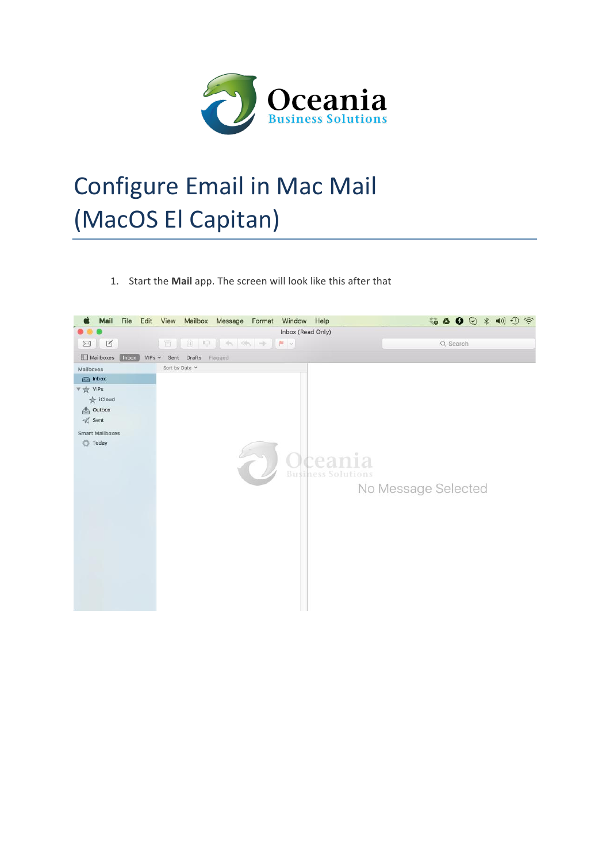

## Configure Email in Mac Mail (MacOS El Capitan)

1. Start the Mail app. The screen will look like this after that

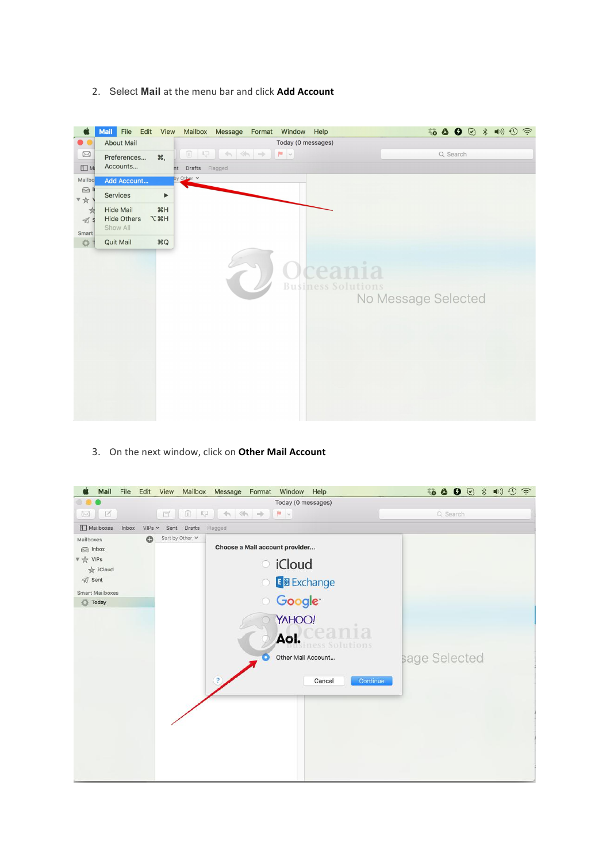2. Select Mail at the menu bar and click Add Account



3. On the next window, click on Other Mail Account

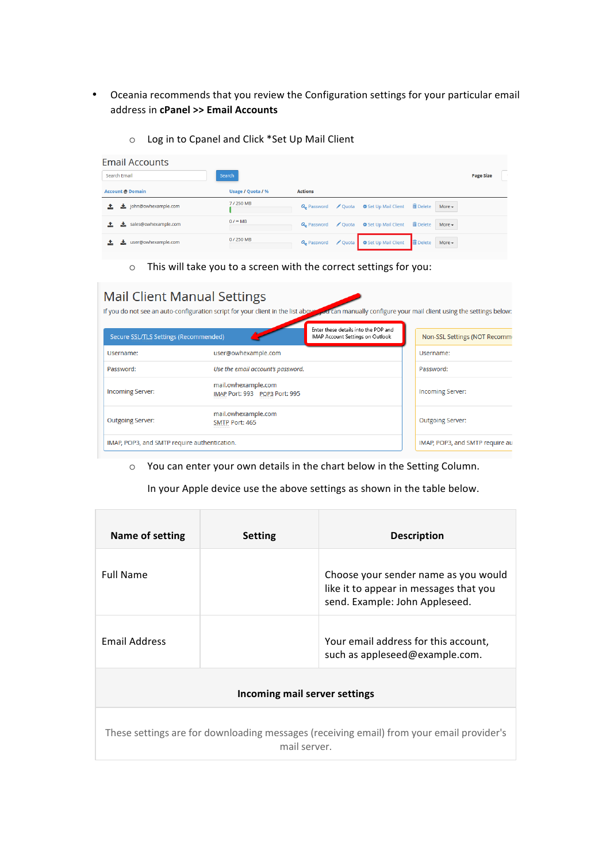- Oceania recommends that you review the Configuration settings for your particular email address in **cPanel >> Email Accounts**
	- o Log in to Cpanel and Click \*Set Up Mail Client

| <b>Email Accounts</b>      |                   |                                                                                                |                  |
|----------------------------|-------------------|------------------------------------------------------------------------------------------------|------------------|
| Search Email               | Search            |                                                                                                | <b>Page Size</b> |
| <b>Account @ Domain</b>    | Usage / Quota / % | <b>Actions</b>                                                                                 |                  |
| tohn@owhexample.com        | 7/250 MB          | <b>m</b> Delete<br>Q, Password / Quota ✿ Set Up Mail Client<br>More $\sim$                     |                  |
| sales@owhexample.com<br>÷. | $0/$ $\infty$ MB  | <b>m</b> Delete<br>Q <sub>s</sub> Password ∕ Quota <b>Φ</b> Set Up Mail Client<br>More $\star$ |                  |
| user@owhexample.com        | 0/250 MB          | <b>T</b> Delete<br>Q. Password / Quota   © Set Up Mail Client<br>More $\sim$                   |                  |

 $\circ$  This will take you to a screen with the correct settings for you:

| <b>Mail Client Manual Settings</b>           | If you do not see an auto-configuration script for your client in the list above |                                                                          | od can manually configure your mail client using the settings below: |
|----------------------------------------------|----------------------------------------------------------------------------------|--------------------------------------------------------------------------|----------------------------------------------------------------------|
| Secure SSL/TLS Settings (Recommended)        |                                                                                  | Enter these details into the POP and<br>IMAP Account Settings on Outlook | Non-SSL Settings (NOT Recomm                                         |
| Username:                                    | user@owhexample.com                                                              |                                                                          | Username:                                                            |
| Password:                                    | Use the email account's password.                                                |                                                                          | Password:                                                            |
| <b>Incoming Server:</b>                      | mail.owhexample.com<br>IMAP Port: 993 POP3 Port: 995                             |                                                                          | <b>Incoming Server:</b>                                              |
| <b>Outgoing Server:</b>                      | mail.owhexample.com<br>SMTP Port: 465                                            |                                                                          | <b>Outgoing Server:</b>                                              |
| IMAP, POP3, and SMTP require authentication. |                                                                                  |                                                                          | IMAP, POP3, and SMTP require au                                      |

o You can enter your own details in the chart below in the Setting Column.

In your Apple device use the above settings as shown in the table below.

| Name of setting                                                                                          | <b>Setting</b> | <b>Description</b>                                                                                               |  |  |  |
|----------------------------------------------------------------------------------------------------------|----------------|------------------------------------------------------------------------------------------------------------------|--|--|--|
| <b>Full Name</b>                                                                                         |                | Choose your sender name as you would<br>like it to appear in messages that you<br>send. Example: John Appleseed. |  |  |  |
| <b>Email Address</b>                                                                                     |                | Your email address for this account,<br>such as appleseed@example.com.                                           |  |  |  |
| Incoming mail server settings                                                                            |                |                                                                                                                  |  |  |  |
| These settings are for downloading messages (receiving email) from your email provider's<br>mail server. |                |                                                                                                                  |  |  |  |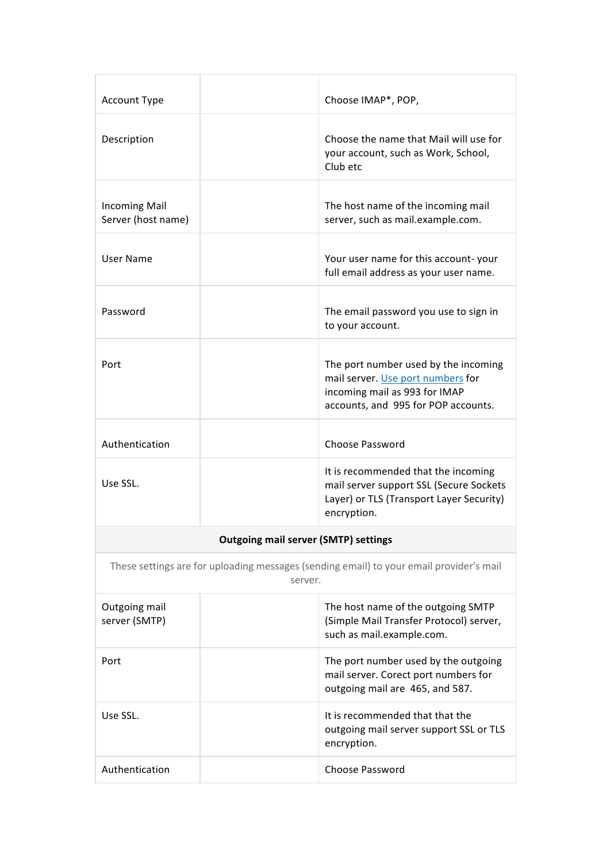| <b>Account Type</b>                                                                                |  | Choose IMAP*, POP,                                                                                                                                |  |  |
|----------------------------------------------------------------------------------------------------|--|---------------------------------------------------------------------------------------------------------------------------------------------------|--|--|
| Description                                                                                        |  | Choose the name that Mail will use for<br>your account, such as Work, School,<br>Club etc                                                         |  |  |
| <b>Incoming Mail</b><br>Server (host name)                                                         |  | The host name of the incoming mail<br>server, such as mail.example.com.                                                                           |  |  |
| User Name                                                                                          |  | Your user name for this account-your<br>full email address as your user name.                                                                     |  |  |
| Password                                                                                           |  | The email password you use to sign in<br>to your account.                                                                                         |  |  |
| Port                                                                                               |  | The port number used by the incoming<br>mail server. Use port numbers for<br>incoming mail as 993 for IMAP<br>accounts, and 995 for POP accounts. |  |  |
| Authentication                                                                                     |  | Choose Password                                                                                                                                   |  |  |
| Use SSL.                                                                                           |  | It is recommended that the incoming<br>mail server support SSL (Secure Sockets<br>Layer) or TLS (Transport Layer Security)<br>encryption.         |  |  |
| <b>Outgoing mail server (SMTP) settings</b>                                                        |  |                                                                                                                                                   |  |  |
| These settings are for uploading messages (sending email) to your email provider's mail<br>server. |  |                                                                                                                                                   |  |  |
| Outgoing mail<br>server (SMTP)                                                                     |  | The host name of the outgoing SMTP<br>(Simple Mail Transfer Protocol) server,<br>such as mail.example.com.                                        |  |  |
| Port                                                                                               |  | The port number used by the outgoing<br>mail server. Corect port numbers for<br>outgoing mail are 465, and 587.                                   |  |  |
| Use SSL.                                                                                           |  | It is recommended that that the<br>outgoing mail server support SSL or TLS<br>encryption.                                                         |  |  |
| Authentication                                                                                     |  | <b>Choose Password</b>                                                                                                                            |  |  |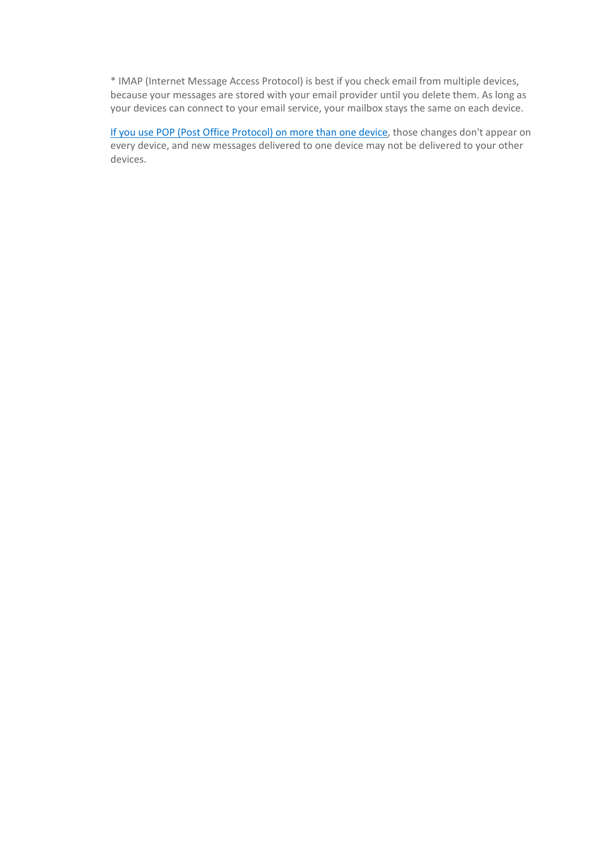\* IMAP (Internet Message Access Protocol) is best if you check email from multiple devices, because your messages are stored with your email provider until you delete them. As long as your devices can connect to your email service, your mailbox stays the same on each device.

If you use POP (Post Office Protocol) on more than one device, those changes don't appear on every device, and new messages delivered to one device may not be delivered to your other devices.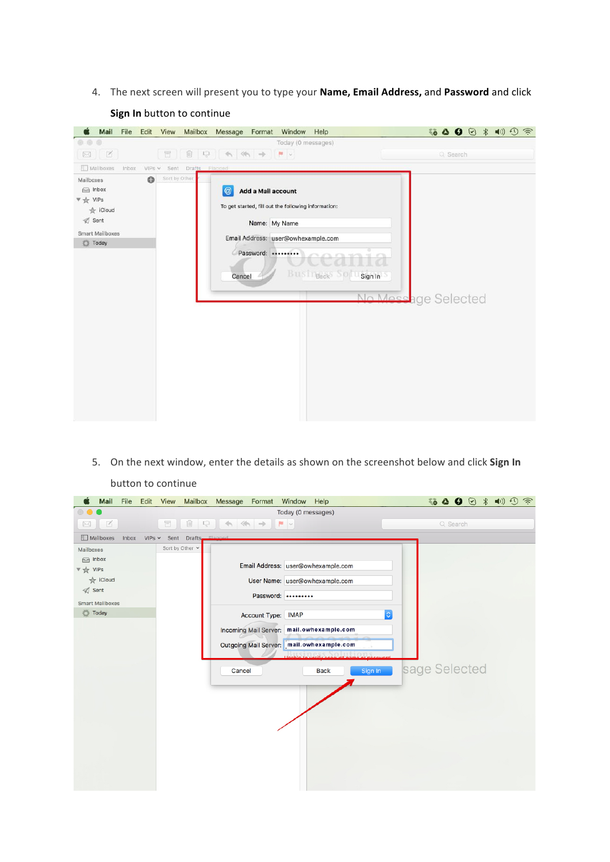4. The next screen will present you to type your **Name, Email Address,** and Password and click



**Sign In** button to continue

5. On the next window, enter the details as shown on the screenshot below and click Sign In button to continue

| Mail                                                                                                                 | File  | Edit | View            | Mailbox | Message<br>Format                  |                | Window<br>Help                                                                                                                                                                             |                           | $\ket{1}$<br>҈ ∆ O ⊙<br>$\widehat{\mathcal{D}}$<br>$*$ |
|----------------------------------------------------------------------------------------------------------------------|-------|------|-----------------|---------|------------------------------------|----------------|--------------------------------------------------------------------------------------------------------------------------------------------------------------------------------------------|---------------------------|--------------------------------------------------------|
|                                                                                                                      |       |      |                 |         |                                    |                | Today (0 messages)                                                                                                                                                                         |                           |                                                        |
| K<br>$\boxtimes$                                                                                                     |       |      | Ħ               | 侕<br>B. | $\iff\Rightarrow$<br>$\rightarrow$ | $\blacksquare$ |                                                                                                                                                                                            |                           | Q Search                                               |
| Mailboxes                                                                                                            | Inbox | VIPS | Sent            | Drafts  | Elegged                            |                |                                                                                                                                                                                            |                           |                                                        |
| Mailboxes<br>ca Inbox<br>▼ ☆ VIPs<br><b>★ iCloud</b><br>$\mathcal{D}$ Sent<br><b>Smart Mailboxes</b><br><b>Today</b> |       |      | Sort by Other v |         | Account Type: IMAP<br>Cancel       |                | Email Address: user@owhexample.com<br>User Name: user@owhexample.com<br>Password:<br>Incoming Mail Server: mail.owhexample.com<br>Outgoing Mail Server: mail.owhexample.com<br><b>Back</b> | $ \hat{\phi} $<br>Sign In | sage Selected                                          |
|                                                                                                                      |       |      |                 |         |                                    |                |                                                                                                                                                                                            |                           |                                                        |